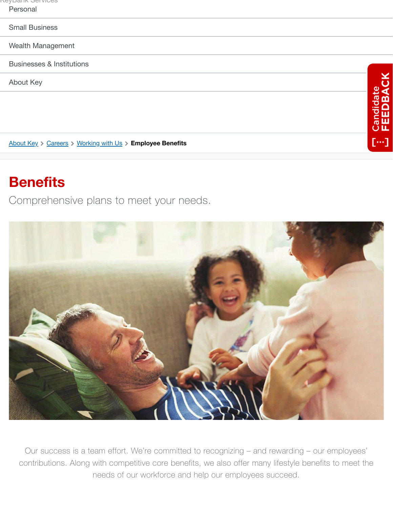|          |  |  |  | <u>NGADAHIY OGI AICG2</u> |  |
|----------|--|--|--|---------------------------|--|
| Personal |  |  |  |                           |  |

#### [Small Business](https://www.key.com/small-business/index.jsp)

[Wealth Management](https://www.key.com/kpb/index.jsp)

[Businesses & Institutions](https://www.key.com/businesses-institutions/index.jsp)

[About Key](https://www.key.com/about/index.jsp)

[About Key](https://www.key.com/about/index.jsp) > [Careers](https://www.key.com/about/careers.jsp) > [Working with Us](https://www.key.com/about/careers/working-with-us.jsp) > Employee Benefits

## **Benefits**

Comprehensive plans to meet your needs.



Candidate<br>FEEDBAC

ш ш

[…]

Our success is a team effort. We're committed to recognizing – and rewarding – our employees' contributions. Along with competitive core benefits, we also offer many lifestyle benefits to meet the needs of our workforce and help our employees succeed.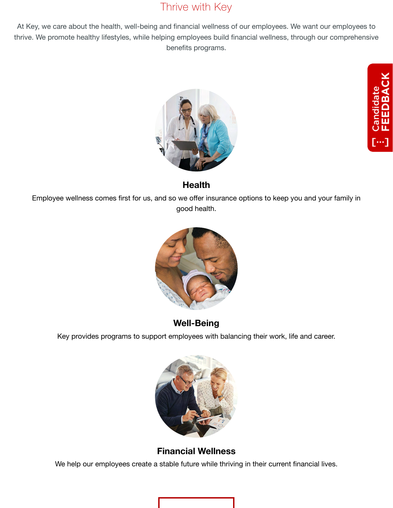## Thrive with Key

At Key, we care about the health, well-being and financial wellness of our employees. We want our employees to thrive. We promote healthy lifestyles, while helping employees build financial wellness, through our comprehensive benefits programs.



## Candidate<br>FEEDBAC  $[\cdots]$

### **Health**

Employee wellness comes first for us, and so we offer insurance options to keep you and your family in good health.



## **Well-Being**

Key provides programs to support employees with balancing their work, life and career.



## **Financial Wellness**

We help our employees create a stable future while thriving in their current financial lives.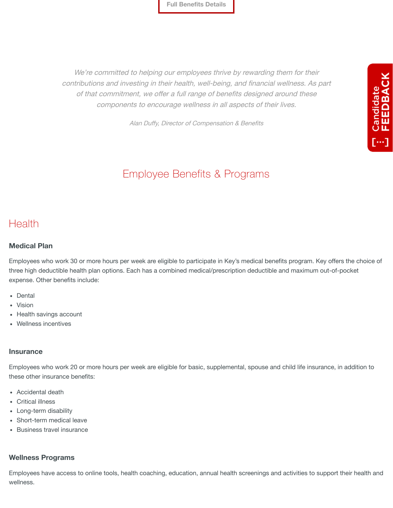**[Full Benefits Details](#page-2-0)**

We're committed to helping our employees thrive by rewarding them for their contributions and investing in their health, well-being, and financial wellness. As part of that commitment, we offer a full range of benefits designed around these components to encourage wellness in all aspects of their lives.

Candidate<br>FEEDBACK

 $\overline{[} \cdots ]$ 

Alan Duffy, Director of Compensation & Benefits

## Employee Benefits & Programs

## <span id="page-2-0"></span>Health

#### **Medical Plan**

Employees who work 30 or more hours per week are eligible to participate in Key's medical benefits program. Key offers the choice of three high deductible health plan options. Each has a combined medical/prescription deductible and maximum out-of-pocket expense. Other benefits include:

- Dental
- Vision
- Health savings account
- Wellness incentives

#### **Insurance**

Employees who work 20 or more hours per week are eligible for basic, supplemental, spouse and child life insurance, in addition to these other insurance benefits:

- Accidental death
- Critical illness
- Long-term disability
- Short-term medical leave
- Business travel insurance

#### **Wellness Programs**

Employees have access to online tools, health coaching, education, annual health screenings and activities to support their health and wellness.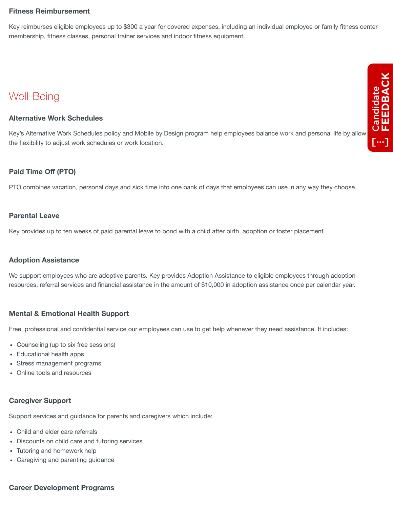#### **Fitness Reimbursement**

Key reimburses eligible employees up to \$300 a year for covered expenses, including an individual employee or family fitness center membership, fitness classes, personal trainer services and indoor fitness equipment.

## Well-Being

#### **Alternative Work Schedules**

Well-Being<br>Alternative Work Schedules<br>Key's Alternative Work Schedules policy and Mobile by Design program help employees balance work and personal life by allowing<br>the flexibility to adjust work schedules or work location the flexibility to adjust work schedules or work location.

#### **Paid Time Off (PTO)**

PTO combines vacation, personal days and sick time into one bank of days that employees can use in any way they choose.

#### **Parental Leave**

Key provides up to ten weeks of paid parental leave to bond with a child after birth, adoption or foster placement.

#### **Adoption Assistance**

We support employees who are adoptive parents. Key provides Adoption Assistance to eligible employees through adoption resources, referral services and financial assistance in the amount of \$10,000 in adoption assistance once per calendar year.

#### **Mental & Emotional Health Support**

Free, professional and confidential service our employees can use to get help whenever they need assistance. It includes:

- Counseling (up to six free sessions)
- Educational health apps
- Stress management programs
- Online tools and resources

#### **Caregiver Support**

Support services and guidance for parents and caregivers which include:

- Child and elder care referrals
- Discounts on child care and tutoring services
- Tutoring and homework help
- Caregiving and parenting guidance

#### **Career Development Programs**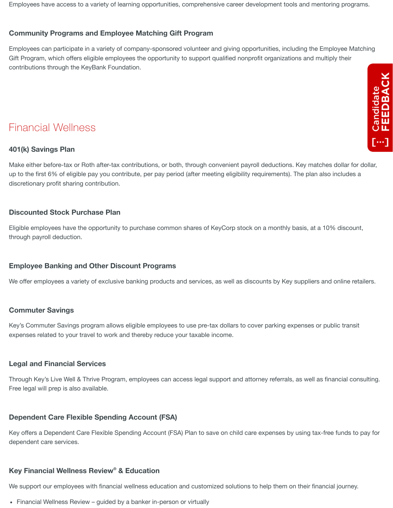Employees have access to a variety of learning opportunities, comprehensive career development tools and mentoring programs.

#### **Community Programs and Employee Matching Gift Program**

Employees can participate in a variety of company-sponsored volunteer and giving opportunities, including the Employee Matching Gift Program, which offers eligible employees the opportunity to support qualified nonprofit organizations and multiply their contributions through the KeyBank Foundation.

# Candidate<br>FEEDBACK  $\overline{[}\cdots]$

## Financial Wellness

#### **401(k) Savings Plan**

Make either before-tax or Roth after-tax contributions, or both, through convenient payroll deductions. Key matches dollar for dollar, up to the first 6% of eligible pay you contribute, per pay period (after meeting eligibility requirements). The plan also includes a discretionary profit sharing contribution.

#### **Discounted Stock Purchase Plan**

Eligible employees have the opportunity to purchase common shares of KeyCorp stock on a monthly basis, at a 10% discount, through payroll deduction.

#### **Employee Banking and Other Discount Programs**

We offer employees a variety of exclusive banking products and services, as well as discounts by Key suppliers and online retailers.

#### **Commuter Savings**

Key's Commuter Savings program allows eligible employees to use pre-tax dollars to cover parking expenses or public transit expenses related to your travel to work and thereby reduce your taxable income.

#### **Legal and Financial Services**

Through Key's Live Well & Thrive Program, employees can access legal support and attorney referrals, as well as financial consulting. Free legal will prep is also available.

#### **Dependent Care Flexible Spending Account (FSA)**

Key offers a Dependent Care Flexible Spending Account (FSA) Plan to save on child care expenses by using tax-free funds to pay for dependent care services.

#### **Key Financial Wellness Review<sup>®</sup> & Education**

We support our employees with financial wellness education and customized solutions to help them on their financial journey.

• Financial Wellness Review – guided by a banker in-person or virtually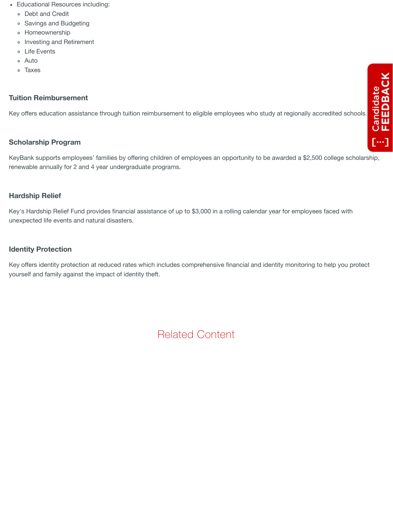- Educational Resources including:
	- Debt and Credit
	- Savings and Budgeting
	- Homeownership
	- o Investing and Retirement
	- Life Events
	- Auto
	- Taxes

#### **Tuition Reimbursement**

Key offers education assistance through tuition reimbursement to eligible employees who study at regionally accredited schools.

#### **Scholarship Program**

KeyBank supports employees' families by offering children of employees an opportunity to be awarded a \$2,500 college scholarship, renewable annually for 2 and 4 year undergraduate programs.

#### **Hardship Relief**

Key's Hardship Relief Fund provides financial assistance of up to \$3,000 in a rolling calendar year for employees faced with unexpected life events and natural disasters.

#### **Identity Protection**

Key offers identity protection at reduced rates which includes comprehensive financial and identity monitoring to help you protect yourself and family against the impact of identity theft.

Related Content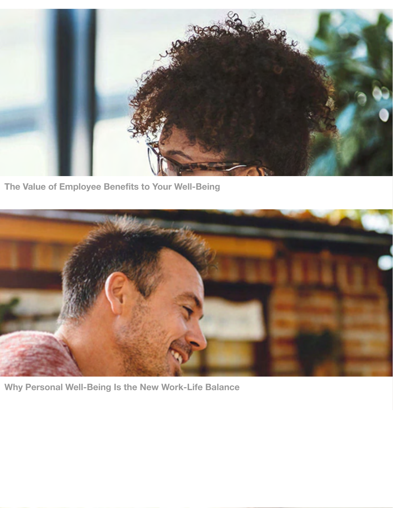

**[The Value of Employee Benefits to Your Well-Being](https://www.key.com/about/careers/development/value-of-benefits.jsp)**



**[Why Personal Well-Being Is the New Work-Life Balance](https://www.key.com/about/careers/development/personal-well-being.jsp)**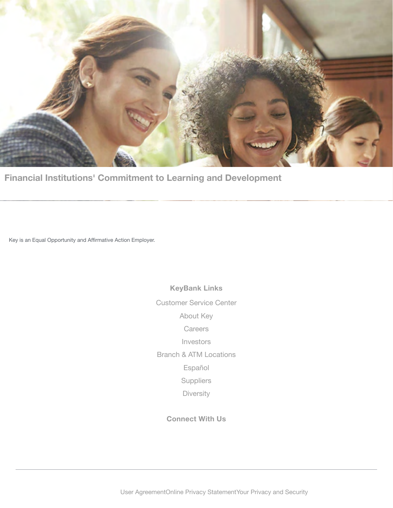

**[Financial Institutions' Commitment to Learning and Development](https://www.key.com/about/careers/development/commitment-to-learning.jsp)**

Key is an Equal Opportunity and Affirmative Action Employer.

**KeyBank Links** [Customer Service Center](https://www.key.com/about/customer-service.jsp) [About Key](https://www.key.com/about/index.jsp) **[Careers](https://www.key.com/to/obi+careers)** [Investors](https://www.key.com/to/ir+overview) [Branch & ATM Locations](https://www.key.com/to/key+atmlocator) [Español](https://www.key.com/personal/espanol/index.jsp) [Suppliers](https://www.key.com/about/company-information/supplier-overview.jsp) [Diversity](https://www.key.com/about/diversity/diversity-and-inclusion.jsp)

**Connect With Us**